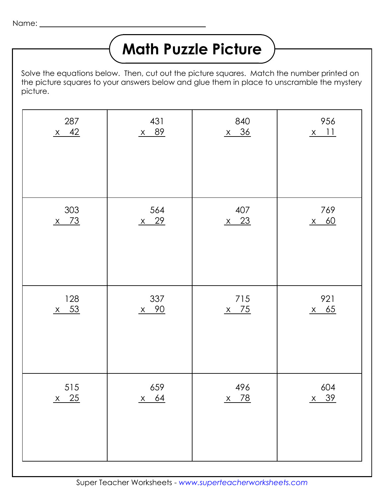## **Math Puzzle Picture**

Solve the equations below. Then, cut out the picture squares. Match the number printed on the picture squares to your answers below and glue them in place to unscramble the mystery picture.

| 287    | 431         | 840    | 956    |
|--------|-------------|--------|--------|
| $x$ 42 | x 89        | $x$ 36 | $x$ 11 |
| 303    | 564         | 407    | 769    |
| $x$ 73 | $x$ 29      | $x$ 23 | $x$ 60 |
| 128    | 337         | 715    | 921    |
| $x$ 53 | <u>x 90</u> | $x$ 75 | $x$ 65 |
| 515    | 659         | 496    | 604    |
| $x$ 25 | $x$ 64      | $x$ 78 | $x$ 39 |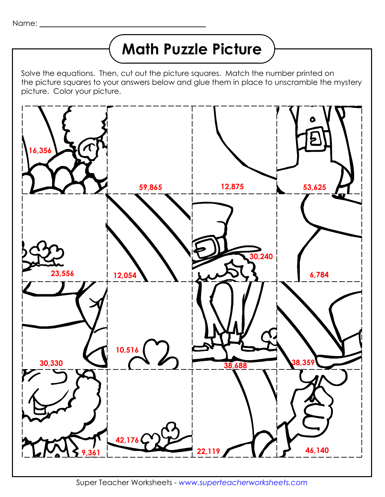## **Math Puzzle Picture**

Solve the equations. Then, cut out the picture squares. Match the number printed on the picture squares to your answers below and glue them in place to unscramble the mystery picture. Color your picture.